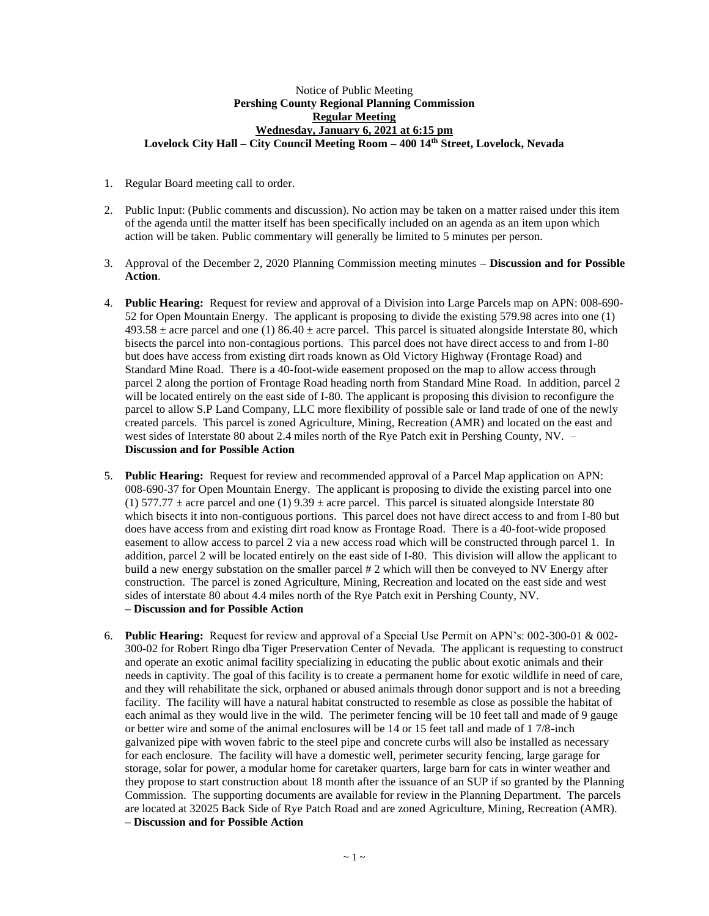## Notice of Public Meeting **Pershing County Regional Planning Commission Regular Meeting Wednesday, January 6, 2021 at 6:15 pm Lovelock City Hall – City Council Meeting Room – 400 14th Street, Lovelock, Nevada**

- 1. Regular Board meeting call to order.
- 2. Public Input: (Public comments and discussion). No action may be taken on a matter raised under this item of the agenda until the matter itself has been specifically included on an agenda as an item upon which action will be taken. Public commentary will generally be limited to 5 minutes per person.
- 3. Approval of the December 2, 2020 Planning Commission meeting minutes **– Discussion and for Possible Action**.
- 4. **Public Hearing:** Request for review and approval of a Division into Large Parcels map on APN: 008-690- 52 for Open Mountain Energy. The applicant is proposing to divide the existing 579.98 acres into one (1)  $493.58 \pm$  acre parcel and one (1)  $86.40 \pm$  acre parcel. This parcel is situated alongside Interstate 80, which bisects the parcel into non-contagious portions. This parcel does not have direct access to and from I-80 but does have access from existing dirt roads known as Old Victory Highway (Frontage Road) and Standard Mine Road. There is a 40-foot-wide easement proposed on the map to allow access through parcel 2 along the portion of Frontage Road heading north from Standard Mine Road. In addition, parcel 2 will be located entirely on the east side of I-80. The applicant is proposing this division to reconfigure the parcel to allow S.P Land Company, LLC more flexibility of possible sale or land trade of one of the newly created parcels. This parcel is zoned Agriculture, Mining, Recreation (AMR) and located on the east and west sides of Interstate 80 about 2.4 miles north of the Rye Patch exit in Pershing County, NV.– **Discussion and for Possible Action**
- 5. **Public Hearing:** Request for review and recommended approval of a Parcel Map application on APN: 008-690-37 for Open Mountain Energy. The applicant is proposing to divide the existing parcel into one (1) 577.77  $\pm$  acre parcel and one (1) 9.39  $\pm$  acre parcel. This parcel is situated alongside Interstate 80 which bisects it into non-contiguous portions. This parcel does not have direct access to and from I-80 but does have access from and existing dirt road know as Frontage Road. There is a 40-foot-wide proposed easement to allow access to parcel 2 via a new access road which will be constructed through parcel 1. In addition, parcel 2 will be located entirely on the east side of I-80. This division will allow the applicant to build a new energy substation on the smaller parcel # 2 which will then be conveyed to NV Energy after construction. The parcel is zoned Agriculture, Mining, Recreation and located on the east side and west sides of interstate 80 about 4.4 miles north of the Rye Patch exit in Pershing County, NV. **– Discussion and for Possible Action**
- 6. **Public Hearing:** Request for review and approval of a Special Use Permit on APN's: 002-300-01 & 002- 300-02 for Robert Ringo dba Tiger Preservation Center of Nevada. The applicant is requesting to construct and operate an exotic animal facility specializing in educating the public about exotic animals and their needs in captivity. The goal of this facility is to create a permanent home for exotic wildlife in need of care, and they will rehabilitate the sick, orphaned or abused animals through donor support and is not a breeding facility. The facility will have a natural habitat constructed to resemble as close as possible the habitat of each animal as they would live in the wild. The perimeter fencing will be 10 feet tall and made of 9 gauge or better wire and some of the animal enclosures will be 14 or 15 feet tall and made of 1 7/8-inch galvanized pipe with woven fabric to the steel pipe and concrete curbs will also be installed as necessary for each enclosure. The facility will have a domestic well, perimeter security fencing, large garage for storage, solar for power, a modular home for caretaker quarters, large barn for cats in winter weather and they propose to start construction about 18 month after the issuance of an SUP if so granted by the Planning Commission. The supporting documents are available for review in the Planning Department. The parcels are located at 32025 Back Side of Rye Patch Road and are zoned Agriculture, Mining, Recreation (AMR). **– Discussion and for Possible Action**